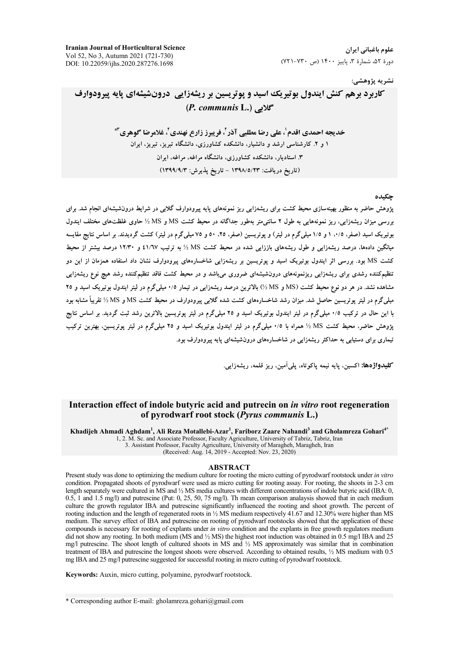علوم باغیانی ایران دورة ۵۲، شمارة ۳، پاييز ۱۴۰۰ (ص ۷۳۰-۷۲۱)

#### نشريه پژوهشي:

# **کاربرد برهم کنش ایندول بوتیریک اسید و یوتریسین بر ریشهزایی درونشیشهای پایه پیرودوارف** (P. communis L.) گلابی

خديجه احمدي اقدم'، علي رضا مطلبي آذر '، فريدز زارع نهندي'، غلامرضا گوهري"\* ۱ و ۲. کارشناسی ارشد و دانشیار، دانشکده کشاورزی، دانشگاه تبریز، تبریز، ایران ۳. استادیار، دانشکده کشاورزی، دانشگاه مراغه، مراغه، ایران (تاريخ دريافت: ١٣٩٨/٥/٢٣ - تاريخ يذيرش: ١٣٩٩/٩/٢)

#### حكىده

یژوهش حاضر به منظور بهینهسازی محیط کشت برای ریشهزایی ریز نمونههای پایه پیرودوارف گلابی در شرایط درون شیشهای انجام شد. برای بررسی میزان ریشهزایی، ریز نمونههایی به طول ۲ سانتی متر بهطور جداگانه در محیط کشت MS و MS ½ حاوی غلظتهای مختلف ایندول بوتیریک اسید (صفر، ۰/۵، ۱ و ۱/۵ میلیگرم در لیتر) و یوتریسین (صفر، ۲۵، ۵۰ و ۷۵ میلیگرم در لیتر) کشت گردیدند. بر اساس نتایج مقایسه میانگین دادهها، درصد ریشهزایی و طول ریشههای باززایی شده در محیط کشت MS ½ به ترتیب ٤١/٦٧ و ١٢/٣٠ درصد بیشتر از محیط کشت MS بود. بررسی اثر ایندول بوتیریک اسید و پوتریسین بر ریشهزایی شاخسارههای پیرودوارف نشان داد استفاده همزمان از این دو تنظیمکننده رشدی برای ریشهزایی ریزنمونههای درونشیشهای ضروری می،باشد و در محیط کشت فاقد تنظیمکننده رشد هیچ نوع ریشهزایی مشاهده نشد. در هر دو نوع محیط کشت (MS و MS) بالاترین درصد ریشهزایی در تیمار ۰/۵ میلیگرم در لیتر ایندول بوتیریک اسید و ۲۵ میلی گرم در لیتر یوتریسین حاصل شد. میزان رشد شاخسارههای کشت شده گلابی پیرودوارف در محیط کشت MS و MS ½ تقریباً مشابه بود با این حال در ترکیب ۰/۵ میلی گرم در لیتر ایندول بوتیریک اسید و ۲۵ میلی گرم در لیتر یوتریسین بالاترین رشد ثبت گردید. بر اساس نتایج یژوهش حاضر، محیط کشت MS ½ همراه با ٠/٥ میلیگرم در لیتر ایندول بوتیریک اسید و ٢٥ میلیگرم در لیتر یوتریسین، بهترین ترکیب تیماری برای دستیابی به حداکثر ریشهزایی در شاخسارههای درونشیشهای پایه پیرودوارف بود.

**کلیدواژهها:** اکسین، بابه نیمه باکوتاه، بلی آمین، ریز قلمه، ریشهزایی.

### Interaction effect of indole butyric acid and putrecin on *in vitro* root regeneration of pyrodwarf root stock (Pyrus communis L.)

Khadijeh Ahmadi Aghdam<sup>1</sup>, Ali Reza Motallebi-Azar<sup>1</sup>, Fariborz Zaare Nahandi<sup>3</sup> and Gholamreza Gohari<sup>45</sup> 1, 2. M. Sc. and Associate Professor, Faculty Agriculture, University of Tabriz, Tabriz, Iran 3. Assistant Professor, Faculty Agriculture, University of Maragheh, Maragheh, Iran (Received: Aug. 14, 2019 - Accepted: Nov. 23, 2020)

#### **ABSTRACT**

Present study was done to optimizing the medium culture for rooting the micro cutting of pyrodwarf rootstock under in vitro condition. Propagated shoots of pyrodwarf were used as micro cutting for rooting assay. For rooting, the shoots in 2-3 cm length separately were cultured in MS and 1/2 MS media cultures with different concentrations of indole butyric acid (IBA: 0, 0.5, 1 and 1.5 mg/l) and putrescine (Put: 0, 25, 50, 75 mg/l). Th mean comparison analaysis showed that in each medium culture the growth regulator IBA and putrescine significantly influenced the rooting and shoot growth. The percent of rooting induction and the length of regenerated roots in 1/2 MS medium respectively 41.67 and 12.30% were higher than MS medium. The survey effect of IBA and putrescine on rooting of pyrodwarf rootstocks showed that the application of these compounds is necessary for rooting of explants under in vitro condition and the explants in free growth regulators medium did not show any rooting. In both medium (MS and  $\frac{1}{2}$  MS) the highest root induction was obtained in 0.5 mg/l IBA and 25 mg/l putrescine. The shoot length of cultured shoots in MS and  $\frac{1}{2}$  MS approximately was similar that in combination treatment of IBA and putrescine the longest shoots were observed. According to obtained results, 1/2 MS medium with 0.5 mg IBA and 25 mg/l putrescine suggested for successful rooting in micro cutting of pyrodwarf rootstock.

Keywords: Auxin, micro cutting, polyamine, pyrodwarf rootstock.

\* Corresponding author E-mail: gholamreza.gohari@gmail.com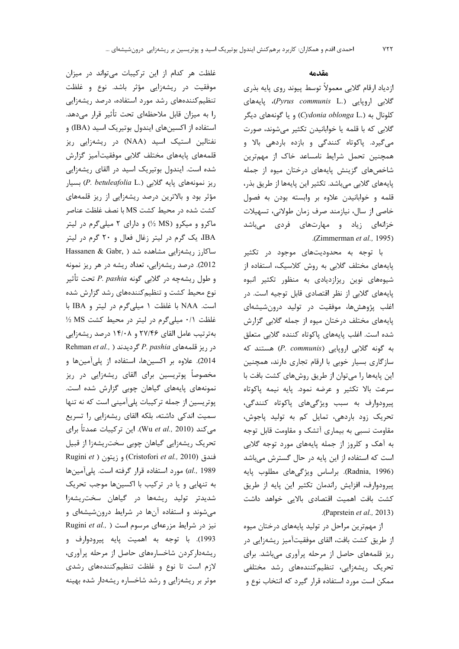$YYY$ 

#### مقدمه

ازدياد ارقام گلابي معمولاً توسط پيوند روي پايه بذري گلابی اروپایی (Pyrus communis L.)، یایههای کلونال به (Cydonia oblonga L.) و یا گونههای دیگر گلابی که با قلمه یا خوابانیدن تکثیر میشوند، صورت میگیرد. پاکوتاه کنندگی و بازده باردهی بالا و همچنین تحمل شرایط نامساعد خاک از مهمترین شاخصهای گزینش پایههای درختان میوه از جمله پایههای گلابی میباشد. تکثیر این پایهها از طریق بذر، قلمه وخوابانيدن علاوه بر وابسته بودن به فصول خاصی از سال، نیازمند صرف زمان طولانی، تسهیلات خزانهای زیاد و مهارتهای فردی میباشد .(Zimmerman et al., 1995)

با توجه به محدودیتهای موجود در تکثیر پایههای مختلف گلابی به روش کلاسیک، استفاده از شیوههای نوین ریزازدیادی به منظور تکثیر انبوه پایههای گلابی از نظر اقتصادی قابل توجیه است. در اغلب پژوهشها، موفقیت در تولید درونشیشهای پایههای مختلف درختان میوه از جمله گلابی گزارش شده است. اغلب پایههای پاکوتاه کننده گلابی متعلق به گونه گلابی اروپایی (P. communis) هستند که سازگاری بسیار خوبی با ارقام تجاری دارند، همچنین این پایهها را میتوان از طریق روشهای کشت بافت با سرعت بالا تكثير و عرضه نمود. پايه نيمه پاكوتاه پیرودوارف به سبب ویژگیهای پاکوتاه کنندگی، تحریک زود باردهی، تمایل کم به تولید پاجوش، مقاومت نسبی به بیماری آتشک و مقاومت قابل توجه به آهک و کلروز از جمله پایههای مورد توجه گلابی است که استفاده از این پایه در حال گسترش میباشد (Radnia, 1996). براساس ويژگىهاى مطلوب پايه پیرودوارف، افزایش راندمان تکثیر این پایه از طریق کشت بافت اهمیت اقتصادی بالایی خواهد داشت .(Paprstein et al., 2013)

از مهمترین مراحل در تولید پایههای درختان میوه از طریق کشت بافت، القای موفقیتآمیز ریشهزایی در ریز قلمههای حاصل از مرحله پرآوری میباشد. برای تحریک ریشهزایی، تنظیم کنندههای رشد مختلفی ممکن است مورد استفاده قرار گیرد که انتخاب نوع و

غلظت هر کدام از این ترکیبات می تواند در میزان موفقیت در ریشهزایی مؤثر باشد. نوع و غلظت تنظیم کنندههای رشد مورد استفاده، درصد ریشهزایی را به میزان قابل ملاحظهای تحت تأثیر قرار میدهد. استفاده از اکسینهای ایندول بوتیریک اسید (IBA) و نفتالین استیک اسید (NAA) در ریشهزایی ریز قلمههای پایههای مختلف گلابی موفقیتآمیز گزارش شده است. ایندول بوتیریک اسید در القای ریشهزایی ريز نمونههاي پايه گلابي (P. betuleafolia L.) بسيار مؤثر بود و بالاترین درصد ریشهزایی از ریز قلمههای كشت شده در محيط كشت MS با نصف غلظت عناصر ماکرو و میکرو (MS ½) و دارای ۲ میلی گرم در لیتر IBA، یک گرم در لیتر زغال فعال و ۲۰ گرم در لیتر Hassanen & Gabr, ) ساكارز ريشەزايى مشاهده شد 2012). درصد ریشهزایی، تعداد ریشه در هر ریز نمونه و طول ریشهچه در گلابی گونه P. pashia تحت تأثیر نوع محیط کشت و تنظیم کنندههای رشد گزارش شده است. NAA با غلظت ١ ميلي گرم در ليتر و IBA با غلظت ٠/١ ميليگرم در ليتر در محيط كشت MS 1⁄2 بهترتیب عامل القای ۲۷/۴۶ و ۱۴/۰۸ درصد ریشهزایی Rehman et al., ) گردیدند ( Rehman et al., ) 2014). علاوه بر اكسينها، استفاده از پلي آمينها و مخصوصاً پوتریسین برای القای ریشهزایی در ریز نمونههای پایههای گیاهان چوبی گزارش شده است. پوتریسین از جمله ترکیبات پلیآمینی است که نه تنها سمیت اندکی داشته، بلکه القای ریشهزایی را تسریع میکند (Wu et al., 2010). این ترکیبات عمدتاً برای تحریک ریشەزایی گیاهان چوبی سختریشەزا از قبیل Rugini et ) و زيتون ( Cristofori et al., 2010) al., 1989) مورد استفاده قرار گرفته است. پلی آمینها به تنهایی و یا در ترکیب با اکسینها موجب تحریک شدیدتر تولید ریشهها در گیاهان سخت ریشهزا می شوند و استفاده آنها در شرایط درون شیشهای و Rugini et al., ) نیز در شرایط مزرعهای مرسوم است 1993). با توجه به اهميت پايه پيرودوارف و ریشهدار کردن شاخسارههای حاصل از مرحله پرآوری، لازم است تا نوع و غلظت تنظیم کنندههای رشدی موثر بر ریشهزایی و رشد شاخساره ریشهدار شده بهینه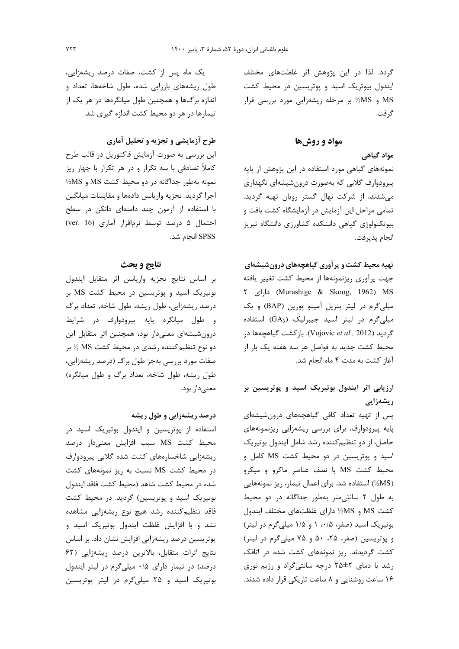گردد. لذا در این پژوهش اثر غلظتهای مختلف ایندول بیوتریک اسید و پوتریسین در محیط کشت MS و MS½ بر مرحله ریشهزایی مورد بررسی قرار گر فت.

#### مواد و روشها

### مواد گیاهی

نمونههای گیاهی مورد استفاده در این پژوهش از پایه پیرودوارف گلابی که بهصورت درون شیشهای نگهداری می شدند، از شرکت نهال گستر رویان تهیه گردید. تمامی مراحل این آزمایش در آزمایشگاه کشت بافت و بیوتکنولوژی گیاهی دانشکده کشاورزی دانشگاه تبریز انجام يذيرفت.

## تهیه محیط کشت و پر آوری گیاهچههای درونشیشهای

جهت پرآوری ریزنمونهها از محیط کشت تغییر یافته Murashige & Skoog, 1962) MS) دارای ۲ میلیگرم در لیتر بنزیل آمینو پورین (BAP) و یک میلیگرم در لیتر اسید جیبرلیک (GA3) استفاده گردید (Vujovic et al., 2012). بازكشت گیاهچهها در محيط كشت جديد به فواصل هر سه هفته يک بار از آغاز کشت به مدت ۴ ماه انجام شد.

# ارزیابی اثر ایندول بوتیریک اسید و پوتریسین بر ریشەزايى

پس از تهیه تعداد کافی گیاهچههای درونشیشهای پایه پیرودوارف، برای بررسی ریشهزایی ریزنمونههای حاصل، از دو تنظیم کننده رشد شامل ایندول بوتیریک اسید و پوتریسین در دو محیط کشت MS کامل و محیط کشت MS با نصف عناصر ماکرو و میکرو (1⁄2MS) استفاده شد. برای اعمال تیمار، ریز نمونههایی به طول ٢ سانتي متر بهطور جداگانه در دو محيط كشت MS و MS½ داراي غلظتهاي مختلف ايندول بوتیریک اسید (صفر، ۰/۵ و ۱/۵ میلی گرم در لیتر) و پوتریسین (صفر، ۲۵، ۵۰ و ۷۵ میلی گرم در لیتر) کشت گردیدند. ریز نمونههای کشت شده در اتاقک رشد با دمای ٢٥±٢ درجه سانتی گراد و رژيم نوری ۱۶ ساعت روشنایی و ۸ ساعت تاریکی قرار داده شدند.

یک ماه پس از کشت، صفات درصد ریشهزایی، طول ریشههای باززایی شده، طول شاخهها، تعداد و اندازه برگها و همچنین طول میانگرهها در هر یک از تیمارها در هر دو محیط کشت اندازه گیری شد.

# طرح آزمایشی و تجزیه و تحلیل آماری

این بررسی به صورت آزمایش فاکتوریل در قالب طرح کاملاً تصادفی با سه تکرار و در هر تکرار با چهار ریز  $\frac{1}{2}MS$  نمونه بهطور جداگانه در دو محیط کشت MS و اجرا گرديد. تجزيه واريانس دادهها و مقايسات ميانگين با استفاده از آزمون چند دامنهای دانکن در سطح احتمال ۵ درصد توسط نرمافزار آماری (ver. 16) SPSS انجام شد.

### نتايج و بحث

بر اساس نتايج تجزيه واريانس اثر متقابل ايندول بوتیریک اسید و پوتریسین در محیط کشت MS بر درصد ریشهزایی، طول ریشه، طول شاخه, تعداد برگ و طول میانگره پایه پیرودوارف در شرایط درونشیشهای معنیدار بود، همچنین اثر متقابل این دو نوع تنظیم کننده رشدی در محیط کشت MS ½ بر صفات مورد بررسی بهجز طول برگ (درصد ریشهزایی، طول ریشه، طول شاخه، تعداد برگ و طول میانگره) معنے دار بود.

### درصد ریشهزایی و طول ریشه

استفاده از پوتریسین و ایندول بوتیریک اسید در محیط کشت MS سبب افزایش معنیدار درصد ریشهزایی شاخسارههای کشت شده گلابی پیرودوارف در محیط کشت MS نسبت به ریز نمونههای کشت شده در محیط کشت شاهد (محیط کشت فاقد ایندول بوتیریک اسید و پوتریسین) گردید. در محیط کشت .<br>فاقد تنظیمکننده رشد هیچ نوع ریشهزایی مشاهده نشد و با افزایش غلظت ایندول بوتیریک اسید و پوتریسین درصد ریشهزایی افزایش نشان داد. بر اساس نتايج اثرات متقابل، بالاترين درصد ريشهزايي (۶۲ درصد) در تیمار دارای ۰/۵ میلی گرم در لیتر ایندول بوتیریک اسید و ۲۵ میلی گرم در لیتر پوتریسین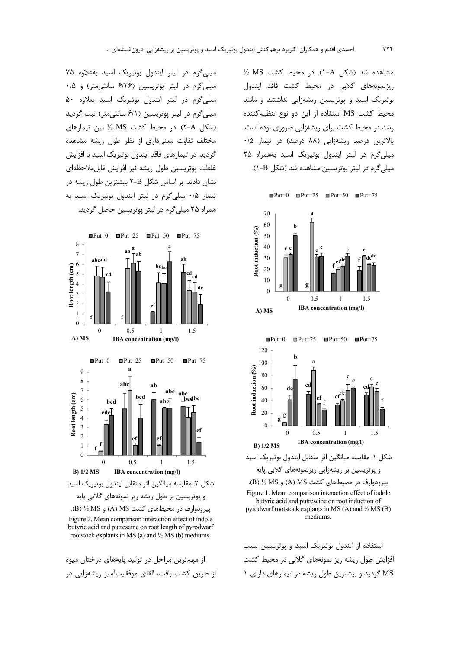مشاهده شد (شكل A-۱). در محيط كشت MS 1⁄2 ریزنمونههای گلابی در محیط کشت فاقد ایندول بوتیریک اسید و پوتریسین ریشهزایی نداشتند و مانند محیط کشت MS استفاده از این دو نوع تنظیم کننده , شد در محیط کشت برای ریشهزایی ضروری بوده است. بالاترین درصد ریشهزایی (۸۸ درصد) در تیمار ۰/۵ میلی گرم در لیتر ایندول بوتیریک اسید بههمراه ۲۵ میلی گرم در لیتر یوتریسین مشاهده شد (شکل B-۱).



استفاده از ایندول بوتیریک اسید و پوتریسین سبب افزایش طول ریشه ریز نمونههای گلابی در محیط کشت MS گردید و بیشترین طول ریشه در تیمارهای دارای ۱

میلی گرم در لیتر ایندول بوتیریک اسید به علاوه ۷۵ میلیگرم در لیتر پوتریسین (۶/٢۶ سانتی متر) و ۰/۵ میلی گرم در لیتر ایندول بوتیریک اسید بعلاوه ۵۰ میلیگرم در لیتر پوتریسین (۶/۱ سانتی متر) ثبت گردید (شكل A-۲). در محيط كشت MS 1⁄2 بين تيمارهاي مختلف تفاوت معنىدارى از نظر طول ريشه مشاهده گردید. در تیمارهای فاقد ایندول بوتیریک اسید با افزایش غلظت يوتريسين طول ريشه نيز افزايش قابل ملاحظهاي نشان دادند. بر اساس شکل X-B بیشترین طول ریشه در تیمار ۰/۵ میلیگرم در لیتر ایندول بوتیریک اسید به همراه ۲۵ میلے گرم در لیتر پوتریسین حاصل گردید.



Figure 2. Mean comparison interaction effect of indole butyric acid and putrescine on root length of pyrodwarf rootstock explants in MS (a) and 1/2 MS (b) mediums.

از مهمترین مراحل در تولید پایههای درختان میوه از طريق كشت بافت، القاي موفقيتآميز ريشهزايي در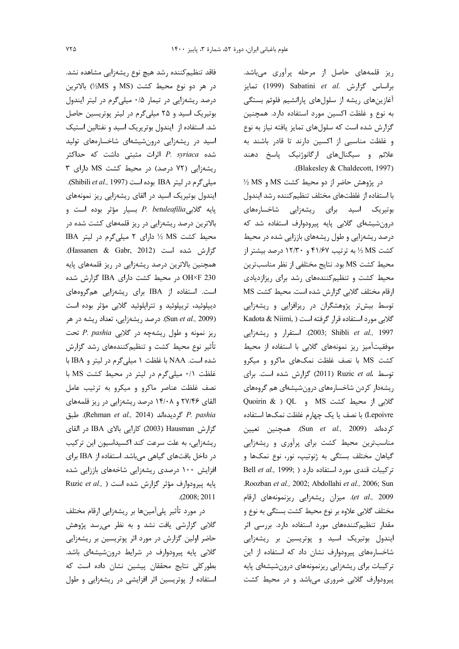ریز قلمههای حاصل از مرحله پرآوری میباشد. براساس گزارش .Sabatini et al تمايز آغازینهای ریشه از سلولهای پارانشیم فلوئم بستگی به نوع و غلظت اکسین مورد استفاده دارد. همچنین گزارش شده است که سلولهای تمایز یافته نیاز به نوع و غلظت مناسبی از اکسین دارند تا قادر باشند به علائم و سیگنالهای ارگانوژنیک پاسخ دهند .(Blakesley & Chaldecott, 1997)

 $\frac{1}{2}$  در پژوهش حاضر از دو محیط کشت MS و MS % با استفاده از غلظتهای مختلف تنظیم کننده رشد ایندول بوتیریک اسید برای ریشهزایی شاخسارههای درونشیشهای گلابی پایه پیرودوارف استفاده شد که درصد ریشهزایی و طول ریشههای باززایی شده در محیط کشت MS ½ به ترتیب ۴۱/۶۷ و ۱۲/۳۰ درصد بیشتر از محيط كشت MS بود. نتايج مختلفي از نظر مناسبترين محیط کشت و تنظیم کنندههای رشد برای ریزازدیادی ارقام مختلف گلابی گزارش شده است. محیط کشت MS توسط بیشتر پژوهشگران در ریزافزایی و ریشهزایی گلابی مورد استفاده قرار گرفته است ( Kadota & Niimi, 2003; Shibli et al., 1997). استقرار و ريشهزايي موفقیتآمیز ریز نمونههای گلابی با استفاده از محیط کشت MS با نصف غلظت نمکهای ماکرو و میکرو توسط .Ruzic et al (2011) Ruzic et al است. براى ریشهدار کردن شاخسارههای درونشیشهای هم گروههای Quoirin & ) QL و OL و Quoirin & ) Lepoivre) با نصف يا يک چهارم غلظت نمکها استفاده كردهاند (Sun et al., 2009). همچنين تعيين مناسبترین محیط کشت برای پراوری و ریشهزایی گیاهان مختلف بستگی به ژنوتیپ، نور، نوع نمکها و Bell et al., 1999; ) تركيبات قندى مورد استفاده دارد .Roozban et al., 2002; Abdollahi et al., 2006; Sun et al., 2009). میزان ریشهزایی ریزنمونههای ارقام مختلف گلابی علاوه بر نوع محیط کشت بستگی به نوع و مقدار تنظیم کنندههای مورد استفاده دارد. بررسی اثر ایندول بوتیریک اسید و پوتریسین بر ریشهزایی شاخسارههای پیرودوارف نشان داد که استفاده از این ترکیبات برای ریشهزایی ریزنمونههای درونشیشهای پایه پیرودوارف گلابی ضروری میباشد و در محیط کشت

فاقد تنظيم كننده رشد هيچ نوع ريشهزايي مشاهده نشد. در هر دو نوع محيط كشت (MS و MS½) بالاترين درصد ریشهزایی در تیمار ۰/۵ میلیگرم در لیتر ایندول بوتیریک اسید و ۲۵ میلی گرم در لیتر پوتریسین حاصل شد. استفاده از ایندول بوتریریک اسید و نفتالین استیک اسید در ریشهزایی درونشیشهای شاخسارههای تولید شده P. syriaca اثرات مثبتی داشت که حداکثر ریشهزایی (۷۲ درصد) در محیط کشت MS دارای ۳ ميلي گرم در ليتر IBA بوده است (Shibili *et al.,* 1997). ایندول بوتیریک اسید در القای ریشهزایی ریز نمونههای پایه گلابیP. betuleafilia بسیار مؤثر بوده است و بالاترین درصد ریشهزایی در ریز قلمههای کشت شده در محیط کشت MS ½ دارای ٢ میلی گرم در لیتر IBA گزارش شده است (Hassanen & Gabr, 2012). همچنین بالاترین درصد ریشهزایی در ریز قلمههای پایه OH×F 230 در محیط کشت دارای IBA گزارش شده است. استفاده از IBA برای ریشهزایی همگروههای دیپلوئید، تریپلوئید و تتراپلوئید گلابی مؤثر بوده است (Sun et al., 2009). درصد ریشهزایی، تعداد ریشه در هر ريز نمونه و طول ريشهچه در گلابى P. pashia تحت تأثیر نوع محیط کشت و تنظیمکنندههای رشد گزارش شده است. NAA با غلظت ١ ميلي گرم در ليتر و IBA با غلظت ٠/١ ميلي گرم در ليتر در محيط كشت MS با نصف غلظت عناصر ماكرو و ميكرو به ترتيب عامل القای ۲۷/۴۶ و ۱۴/۰۸ درصد ریشهزایی در ریز قلمههای P. pashia گرديدهاند (Rehman et al., 2014). طبق گزارش Hausman (2003) كارايي بالاي IBA در القاي ریشهزایی، به علت سرعت کند اکسیداسیون این ترکیب در داخل بافتهای گیاهی میباشد. استفاده از IBA برای افزایش ۱۰۰ درصدی ریشهزایی شاخههای باززایی شده Ruzic et al., ) بايه پيرودوارف مؤثر گزارش شده است  $. (2008; 2011)$ 

در مورد تأثیر پلیآمینها بر ریشهزایی ارقام مختلف گلابی گزارشی یافت نشد و به نظر می رسد پژوهش حاضر اولین گزارش در مورد اثر پوتریسین بر ریشهزایی گلابی پایه پیرودوارف در شرایط درونشیشهای باشد. بطورکلی نتایج محققان پیشین نشان داده است که استفاده از پوتریسین اثر افزایشی در ریشهزایی و طول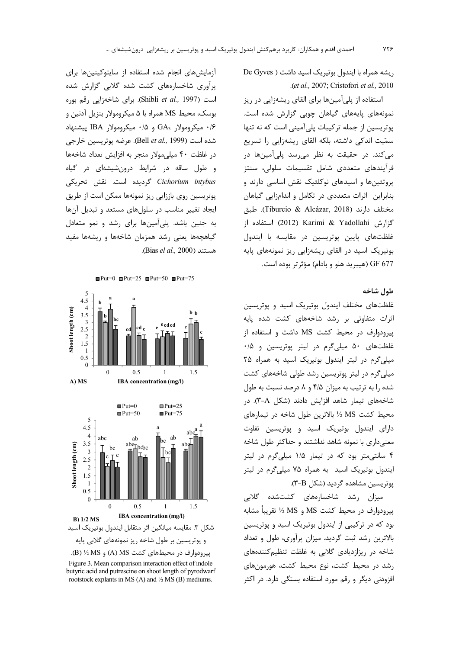ریشه همراه با ایندول بوتیریک اسید داشت ( De Gyves .(et al., 2007; Cristofori et al., 2010

استفاده از پلی آمینها برای القای ریشهزایی در ریز نمونههای پایههای گیاهان چوبی گزارش شده است. یوتریسین از جمله ترکیبات پلی آمینی است که نه تنها سمّیت اندکی داشته، بلکه القای ریشهزایی را تسریع می *ک*ند. در حقیقت به نظر می رسد پلی آمینها در فرآیندهای متعددی شامل تقسیمات سلولی، سنتز پروتئینها و اسیدهای نوکلئیک نقش اساسی دارند و بنابراین اثرات متعددی در تکامل و اندامزایی گیاهان مختلف دارند (Tiburcio & Alcázar, 2018). طبق گزارش Yadollahi & Yadollahi (2012) استفاده از غلظتهای پایین پوتریسین در مقایسه با ایندول بوتیریک اسید در القای ریشهزایی ریز نمونههای پایه 677 (هيبريد هلو و بادام) مؤثرتر بوده است.

طول شاخه

غلظتهای مختلف ایندول بوتیریک اسید و پوتریسین اثرات متفاوتی بر رشد شاخههای کشت شده پایه پیرودوارف در محیط کشت MS داشت و استفاده از غلظتهای ۵۰ میلیگرم در لیتر پوتریسین و ۰/۵ میلی گرم در لیتر ایندول بوتیریک اسید به همراه ۲۵ میلی گرم در لیتر پوتریسین رشد طولی شاخههای کشت شده را به ترتیب به میزان ۴/۵ و ۸ درصد نسبت به طول شاخههای تیمار شاهد افزایش دادند (شکل A-۳). در محیط کشت MS ½ بالاترین طول شاخه در تیمارهای دارای ایندول بوتیریک اسید و پوتریسین تفاوت معنیداری با نمونه شاهد نداشتند و حداکثر طول شاخه ۴ سانتیمتر بود که در تیمار ۱/۵ میلیگرم در لیتر ایندول بوتیریک اسید به همراه ۷۵ میلیگرم در لیتر پوتریسین مشاهده گردید (شکل F-B).

میزان رشد شاخسارههای کشتشده گلابی ييرودوارف در محيط كشت MS و MS ½ تقريباً مشابه بود که در ترکیبی از ایندول بوتیریک اسید و پوتریسین بالاترین رشد ثبت گردید. میزان پرآوری، طول و تعداد شاخه در ریزازدیادی گلابی به غلظت تنظیم کنندههای رشد در محیط کشت، نوع محیط کشت، هورمونهای افزودنی دیگر و رقم مورد استفاده بستگی دارد. در اکثر

آزمایشهای انجام شده استفاده از سایتوکینینها برای پرآوری شاخسارههای کشت شده گلابی گزارش شده است (Shibli et al., 1997). برای شاخهزایی رقم بوره بوسک، محیط MS همراه با ۵ میکرومولار بنزیل آدنین و  $\cdot$ /۶ میکرومولار  $\text{GA}_3$  و ۱۵ $\cdot$  میکرومولار IBA پیشنهاد شده است (Bell et al., 1999). عرضه يوتريسين خارجي در غلظت ۴۰ میلی مولار منجر به افزایش تعداد شاخهها و طول ساقه در شرایط درونشیشهای در گیاه Cichorium intybus گردیده است. نقش تحریکی پوتریسین روی باززایی ریز نمونهها ممکن است از طریق ایجاد تغییر مناسب در سلولهای مستعد و تبدیل آنها به جنین باشد. پلیآمینها برای رشد و نمو متعادل گیاهچهها یعنی رشد همزمان شاخهها و ریشهها مفید هستند (Bias el al., 2000).

 $Plut=0$   $Plut=25$   $Plut=50$   $Plut=75$ 





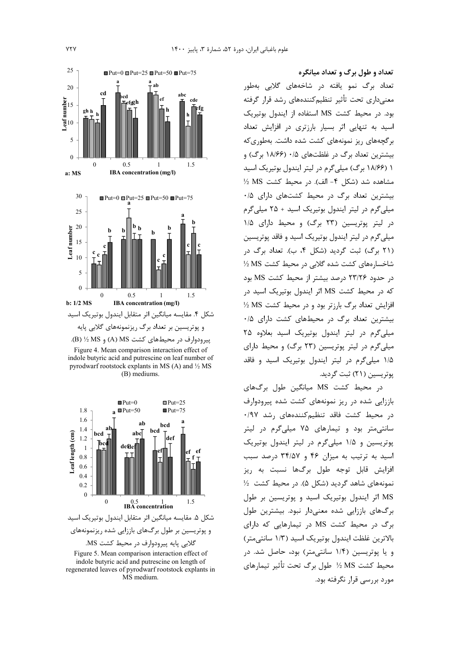

Figure 4. Mean comparison interaction effect of indole butyric acid and putrescine on leaf number of pyrodwarf rootstock explants in MS (A) and 1/2 MS  $(B)$  mediums.



و پوتریسین بر طول برگهای باززایی شده ریزنمونههای گلابی پایه پیرودوارف در محیط کشت MS.

Figure 5. Mean comparison interaction effect of indole butyric acid and putrescine on length of regenerated leaves of pyrodwarf rootstock explants in MS medium.

تعداد و طول برگ و تعداد میانگره

تعداد برگ نمو یافته در شاخههای گلابی بهطور معنیداری تحت تأثیر تنظیمکنندههای رشد قرار گرفته بود. در محیط کشت MS استفاده از ایندول بوتیریک اسید به تنهایی اثر بسیار بارزتری در افزایش تعداد برگجههای ریز نمونههای کشت شده داشت. بهطوری که بیشترین تعداد برگ در غلظتهای ۰/۵ (۱۸/۶۶ برگ) و ١ (١٨/۶۶ برگ) ميلي گرم در ليتر ايندول بوتيريک اسيد مشاهده شد (شكل ۴- الف). در محيط كشت MS 1⁄2 بیشترین تعداد برگ در محیط کشتهای دارای ۰/۵ میلی گرم در لیتر ایندول بوتیریک اسید + ۲۵ میلی گرم در لیتر پوتریسین (٢٣ برگ) و محیط دارای ١/۵ میلیگرم در لیتر ایندول بوتیریک اسید و فاقد پوتریسین (۲۱ برگ) ثبت گردید (شکل ۴، ب). تعداد برگ در شاخسارههای کشت شده گلابی در محیط کشت MS ½ در حدود ۲۳/۲۶ درصد بیشتر از محیط کشت MS بود که در محیط کشت MS اثر ایندول بوتیریک اسید در افزایش تعداد برگ بارزتر بود و در محیط کشت MS ½ بیشترین تعداد برگ در محیطهای کشت دارای ۰/۵ میلی گرم در لیتر ایندول بوتیریک اسید بعلاوه ۲۵ میلیگرم در لیتر پوتریسین (۲۳ برگ) و محیط دارای ۱/۵ میلی گرم در لیتر ایندول بوتیریک اسید و فاقد پوتریسین (۲۱) ثبت گردید.

د<sub>ا</sub> محیط کشت MS میانگین طول برگهای باززایی شده در ریز نمونههای کشت شده پیرودوارف در محیط کشت فاقد تنظیم کنندههای رشد ۰/۹۷ سانتی متر بود و تیمارهای ۷۵ میلی گرم در لیتر پوتریسین و ۱/۵ میلیگرم در لیتر ایندول بوتیریک اسید به ترتیب به میزان ۴۶ و ۳۴/۵۷ درصد سبب افزایش قابل توجه طول برگها نسبت به ریز نمونههای شاهد گردید (شکل ۵). در محیط کشت ½ MS اثر ایندول بوتیریک اسید و پوتریسین بر طول برگهای باززایی شده معنیدار نبود. بیشترین طول برگ در محیط کشت MS در تیمارهایی که دارای بالاترین غلظت ایندول بوتیریک اسید (۱/۳ سانتی متر) و یا پوتریسین (۱/۴ سانتی متر) بود، حاصل شد. در محیط کشت MS ½ طول برگ تحت تأثیر تیمارهای مورد پرسے قرار نگرفته بود.

**YTY**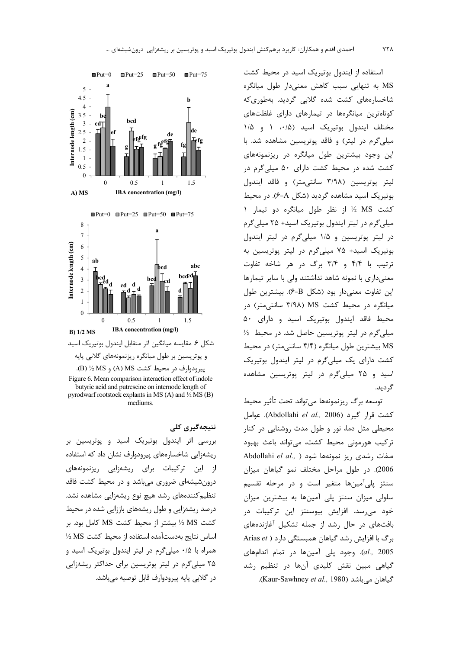

و پوتریسین بر طول میانگره ریزنمونههای گلابی پایه ييرودوارف در محيط كشت A) MS) و B) 3⁄2 MS. Figure 6. Mean comparison interaction effect of indole

butyric acid and putrescine on internode length of pyrodwarf rootstock explants in MS (A) and  $\frac{1}{2}$  MS (B) mediums.

نتىجەگىرى كلى بررسی اثر ایندول بوتیریک اسید و پوتریسین بر ریشەزایی شاخسارەهای پیرودوارف نشان داد که استفاده از این ترکیبات برای ریشهزایی ریزنمونههای درونشیشهای ضروری میباشد و در محیط کشت فاقد تنظیم کنندههای رشد هیچ نوع ریشهزایی مشاهده نشد. درصد ریشهزایی و طول ریشههای باززایی شده در محیط كشت MS 1⁄2 بيشتر از محيط كشت MS كامل بود. بر اساس نتايج بهدستآمده استفاده از محيط كشت MS ½ همراه با ۰/۵ میلیگرم در لیتر ایندول بوتیریک اسید و ۲۵ میلی گرم در لیتر پوتریسین برای حداکثر ریشهزایی در گلابی پایه پیرودوارف قابل توصیه می باشد.

استفاده از ایندول بوتیریک اسید در محیط کشت MS به تنهایی سبب کاهش معنیدار طول میانگره شاخسارههای کشت شده گلابی گردید. بهطوریکه کوتاهترین میانگرهها در تیمارهای دارای غلظتهای مختلف ایندول بوتیریک اسید (۰/۵، ۱ و ۱/۵ میلی گرم در لیتر) و فاقد پوتریسین مشاهده شد. با این وجود بیشترین طول میانگره در ریزنمونههای کشت شده در محیط کشت دارای ۵۰ میلیگرم در ليتر پوتريسين (٣/٩٨ سانتي متر) و فاقد ايندول بوتیریک اسید مشاهده گردید (شکل A-۶). در محیط کشت MS ½ از نظر طول میانگره دو تیمار ١ میلی گرم در لیتر ایندول بوتیریک اسید+ ۲۵ میلی گرم در لیتر پوتریسین و ۱/۵ میلیگرم در لیتر ایندول بوتیریک اسید+ ۷۵ میلیگرم در لیتر پوتریسین به ترتیب با ۴/۴ و ۳/۴ برگ در هر شاخه تفاوت معنی داری با نمونه شاهد نداشتند ولی با سایر تیمارها این تفاوت معنی دار بود (شکل B-۶). بیشترین طول میانگره در محیط کشت MS (۳/۹۸ سانتی متر) در محيط فاقد ايندول بوتيريک اسيد و داراي ۵۰ میلی گرم در لیتر پوتریسین حاصل شد. در محیط <sup>11</sup> MS بیشترین طول میانگره (۴/۴ سانتی متر) در محیط کشت دارای یک میلی گرم در لیتر ایندول بوتیریک اسید و ۲۵ میلیگرم در لیتر پوتریسین مشاهده گ دىد.

توسعه برگ ريزنمونهها مىتواند تحت تأثير محيط كشت قرار گيرد (Abdollahi el al., 2006). عوامل محیطی مثل دما، نور و طول مدت روشنایی در کنار ترکیب هورمونی محیط کشت، می تواند باعث بهبود Abdollahi el al., ) صفات ريز نمونهها شود 2006). در طول مراحل مختلف نمو گیاهان میزان سنتز پلیآمینها متغیر است و در مرحله تقسیم سلولی میزان سنتز پلی آمینها به بیشترین میزان خود می٫سد. افزایش بیوسنتز این ترکیبات د٫ بافتهای در حال رشد از جمله تشکیل آغازندههای برگ با افزایش , شد گیاهان همبستگی دارد ( Arias et al., 2005). وجود پلی آمینها در تمام اندامهای گیاهی مبین نقش کلیدی آنها در تنظیم رشد گیاهان مے باشد (Kaur-Sawhney et al., 1980).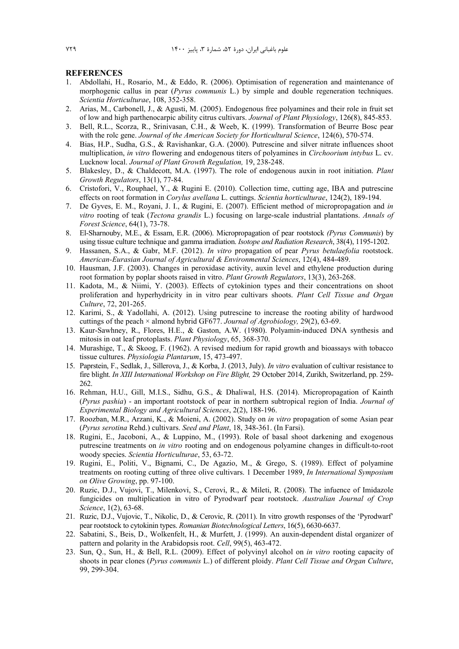#### **REFERENCES**

- 1. Abdollahi, H., Rosario, M., & Eddo, R. (2006). Optimisation of regeneration and maintenance of morphogenic callus in pear (*Pyrus communis* L.) by simple and double regeneration techniques. *Scientia Horticulturae*, 108, 352-358.
- 2. Arias, M., Carbonell, J., & Agusti, M. (2005). Endogenous free polyamines and their role in fruit set of low and high parthenocarpic ability citrus cultivars. *Journal of Plant Physiology*, 126(8), 845-853.
- 3. Bell, R.L., Scorza, R., Srinivasan, C.H., & Weeb, K. (1999). Transformation of Beurre Bosc pear with the rolc gene. *Journal of the American Society for Horticultural Science*, 124(6), 570-574.
- 4. Bias, H.P., Sudha, G.S., & Ravishankar, G.A. (2000). Putrescine and silver nitrate influences shoot multiplication, *in vitro* flowering and endogenous titers of polyamines in *Circhoorium intybus* L. cv. Lucknow local. *Journal of Plant Growth Regulation,* 19, 238-248.
- 5. Blakesley, D., & Chaldecott, M.A. (1997). The role of endogenous auxin in root initiation. *Plant Growth Regulators*, 13(1), 77-84.
- 6. Cristofori, V., Rouphael, Y., & Rugini E. (2010). Collection time, cutting age, IBA and putrescine effects on root formation in *Corylus avellana* L. cuttings. *Scientia horticulturae*, 124(2), 189-194.
- 7. De Gyves, E. M., Royani, J. I., & Rugini, E. (2007). Efficient method of micropropagation and *in vitro* rooting of teak (*Tectona grandis* L.) focusing on large-scale industrial plantations. *Annals of Forest Science*, 64(1), 73-78.
- 8. El-Sharnouby, M.E., & Essam, E.R. (2006). Micropropagation of pear rootstock *(Pyrus Communis*) by using tissue culture technique and gamma irradiation. *Isotope and Radiation Research*, 38(4), 1195-1202.
- 9. Hassanen, S.A., & Gabr, M.F. (2012). *In vitro* propagation of pear *Pyrus betulaefolia* rootstock. *American-Eurasian Journal of Agricultural & Environmental Sciences*, 12(4), 484-489.
- 10. Hausman, J.F. (2003). Changes in peroxidase activity, auxin level and ethylene production during root formation by poplar shoots raised in vitro. *Plant Growth Regulators*, 13(3), 263-268.
- 11. Kadota, M., & Niimi, Y. (2003). Effects of cytokinion types and their concentrations on shoot proliferation and hyperhydricity in in vitro pear cultivars shoots. *Plant Cell Tissue and Organ Culture*, 72, 201-265.
- 12. Karimi, S., & Yadollahi, A. (2012). Using putrescine to increase the rooting ability of hardwood cuttings of the peach × almond hybrid GF677. *Journal of Agrobiology,* 29(2), 63-69.
- 13. Kaur-Sawhney, R., Flores, H.E., & Gaston, A.W. (1980). Polyamin-induced DNA synthesis and mitosis in oat leaf protoplasts. *Plant Physiology*, 65, 368-370.
- 14. Murashige, T., & Skoog, F. (1962). A revised medium for rapid growth and bioassays with tobacco tissue cultures. *Physiologia Plantarum*, 15, 473-497.
- 15. Paprstein, F., Sedlak, J., Sillerova, J., & Korba, J. (2013, July). *In vitro* evaluation of cultivar resistance to fire blight. *In XIII International Workshop on Fire Blight,* 29 October 2014, Zurikh, Switzerland, pp. 259- 262.
- 16. Rehman, H.U., Gill, M.I.S., Sidhu, G.S., & Dhaliwal, H.S. (2014). Micropropagation of Kainth (*Pyrus pashia*) - an important rootstock of pear in northern subtropical region of India. *Journal of Experimental Biology and Agricultural Sciences*, 2(2), 188-196.
- 17. Roozban, M.R., Arzani, K., & Moieni, A. (2002). Study on *in vitro* propagation of some Asian pear (*Pyrus serotina* Rehd.) cultivars. *Seed and Plant*, 18, 348-361. (In Farsi).
- 18. Rugini, E., Jacoboni, A., & Luppino, M., (1993). Role of basal shoot darkening and exogenous putrescine treatments on *in vitro* rooting and on endogenous polyamine changes in difficult-to-root woody species. *Scientia Horticulturae*, 53, 63-72.
- 19. Rugini, E., Politi, V., Bignami, C., De Agazio, M., & Grego, S. (1989). Effect of polyamine treatments on rooting cutting of three olive cultivars. 1 December 1989, *In International Symposium on Olive Growing*, pp. 97-100.
- 20. Ruzic, D.J., Vujovi, T., Milenkovi, S., Cerovi, R., & Mileti, R. (2008). The infuence of Imidazole fungicides on multiplication in vitro of Pyrodwarf pear rootstock. *Australian Journal of Crop Science*, 1(2), 63-68.
- 21. Ruzic, D.J., Vujovic, T., Nikolic, D., & Cerovic, R. (2011). In vitro growth responses of the 'Pyrodwarf' pear rootstock to cytokinin types. *Romanian Biotechnological Letters*, 16(5), 6630-6637.
- 22. Sabatini, S., Beis, D., Wolkenfelt, H., & Murfett, J. (1999). An auxin-dependent distal organizer of pattern and polarity in the Arabidopsis root. *Cell*, 99(5), 463-472.
- 23. Sun, Q., Sun, H., & Bell, R.L. (2009). Effect of polyvinyl alcohol on *in vitro* rooting capacity of shoots in pear clones (*Pyrus communis* L.) of different ploidy. *Plant Cell Tissue and Organ Culture*, 99, 299-304.